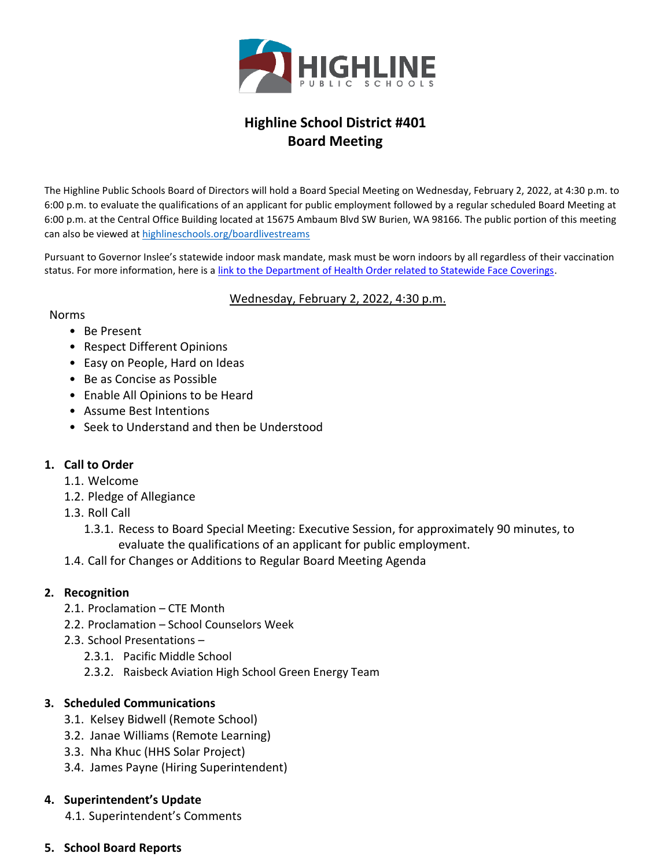

# **Highline School District #401 Board Meeting**

The Highline Public Schools Board of Directors will hold a Board Special Meeting on Wednesday, February 2, 2022, at 4:30 p.m. to 6:00 p.m. to evaluate the qualifications of an applicant for public employment followed by a regular scheduled Board Meeting at 6:00 p.m. at the Central Office Building located at 15675 Ambaum Blvd SW Burien, WA 98166. The public portion of this meeting can also be viewed at [highlineschools.org/boardlivestreams](https://nam10.safelinks.protection.outlook.com/?url=https%3A%2F%2Fwww.highlineschools.org%2Fboardlivestreams&data=04%7C01%7CSharon.Colby%40highlineschools.org%7C669ec7b8299347e83fb808d9e11f6b54%7Ce56e55358e7b44d0bfa81d50833ab846%7C1%7C0%7C637788347331967454%7CUnknown%7CTWFpbGZsb3d8eyJWIjoiMC4wLjAwMDAiLCJQIjoiV2luMzIiLCJBTiI6Ik1haWwiLCJXVCI6Mn0%3D%7C3000&sdata=fFhkdWIFugWPAiXs5dgtrmMrgLNiA2FgjjGSuqtBlQk%3D&reserved=0)

Pursuant to Governor Inslee's statewide indoor mask mandate, mask must be worn indoors by all regardless of their vaccination status. For more information, here is a [link to the Department of Health Order related to Statewide Face Coverings.](https://www.doh.wa.gov/Portals/1/Documents/1600/coronavirus/Secretary_of_Health_Order_20-03_Statewide_Face_Coverings.pdf)

#### Wednesday, February 2, 2022, 4:30 p.m.

#### Norms

#### • Be Present

- Respect Different Opinions
- Easy on People, Hard on Ideas
- Be as Concise as Possible
- Enable All Opinions to be Heard
- Assume Best Intentions
- Seek to Understand and then be Understood

## **1. Call to Order**

- 1.1. Welcome
- 1.2. Pledge of Allegiance
- 1.3. Roll Call
	- 1.3.1. Recess to Board Special Meeting: Executive Session, for approximately 90 minutes, to evaluate the qualifications of an applicant for public employment.
- 1.4. Call for Changes or Additions to Regular Board Meeting Agenda

## **2. Recognition**

- 2.1. Proclamation CTE Month
- 2.2. Proclamation School Counselors Week
- 2.3. School Presentations
	- 2.3.1. Pacific Middle School
	- 2.3.2. Raisbeck Aviation High School Green Energy Team

## **3. Scheduled Communications**

- 3.1. Kelsey Bidwell (Remote School)
- 3.2. Janae Williams (Remote Learning)
- 3.3. Nha Khuc (HHS Solar Project)
- 3.4. James Payne (Hiring Superintendent)

## **4. Superintendent's Update**

4.1. Superintendent's Comments

## **5. School Board Reports**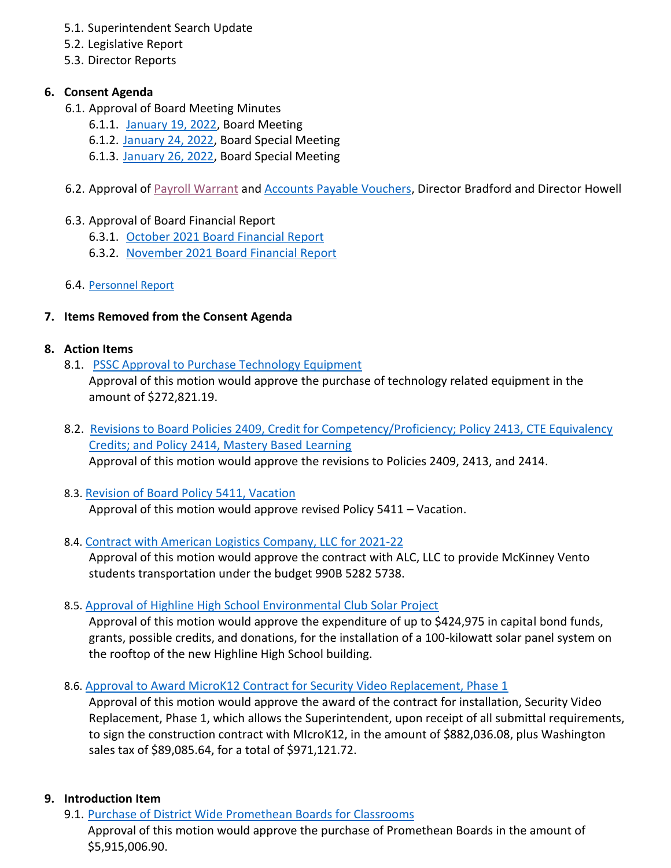- 5.1. Superintendent Search Update
- 5.2. Legislative Report
- 5.3. Director Reports

# **6. Consent Agenda**

- 6.1. Approval of Board Meeting Minutes
	- 6.1.1. January [19, 2022,](https://www.highlineschools.org/fs/resource-manager/view/e2a84c04-49a6-452b-9817-0d6e27b93f48) Board Meeting
	- 6.1.2. [January 24, 2022,](https://www.highlineschools.org/fs/resource-manager/view/c654352a-545f-4a6a-a3c6-69bcc1b550b2) Board Special Meeting
	- 6.1.3. [January 26, 2022,](https://www.highlineschools.org/fs/resource-manager/view/93517e6b-ee25-4736-a0d5-fc0ddb012208) Board Special Meeting
- 6.2. Approval of [Payroll Warrant](https://www.highlineschools.org/fs/resource-manager/view/a63e4afa-1fbb-4dfe-a702-8880935db7d9) and **Accounts Payable Vouchers**, Director Bradford and Director Howell
- 6.3. Approval of Board Financial Report
	- 6.3.1. [October 2021 Board Financial Report](https://www.highlineschools.org/fs/resource-manager/view/3f446fb3-7b8b-4562-90e9-1dc0a0e8b71c)
	- 6.3.2. [November 2021 Board Financial Report](https://www.highlineschools.org/fs/resource-manager/view/9a1a52ad-fbaa-4541-bc78-a8795704bb45)
- 6.4. [Personnel Report](https://www.highlineschools.org/fs/resource-manager/view/9f89b605-4e34-466c-a903-2f51fe647ffb)

# **7. Items Removed from the Consent Agenda**

## **8. Action Items**

- 8.1. [PSSC Approval to Purchase Technology Equipment](https://www.highlineschools.org/fs/resource-manager/view/6547d495-3592-48ca-86ef-ebef20881c40) Approval of this motion would approve the purchase of technology related equipment in the amount of \$272,821.19.
- 8.2. [Revisions to Board Policies 2409, Credit for Competency/Proficiency; Policy 2413, CTE Equivalency](https://www.highlineschools.org/fs/resource-manager/view/39baa6d6-9eec-4a6a-bfbb-f1247d09aaca)  [Credits; and Policy 2414, Mastery Based Learning](https://www.highlineschools.org/fs/resource-manager/view/39baa6d6-9eec-4a6a-bfbb-f1247d09aaca)  Approval of this motion would approve the revisions to Policies 2409, 2413, and 2414.
- 8.3. [Revision of Board Policy 5411, Vacation](https://www.highlineschools.org/fs/resource-manager/view/47661d07-d7f4-4598-96eb-4bfebe3c0ad3) Approval of this motion would approve revised Policy 5411 – Vacation.
- 8.4. [Contract with American Logistics Company, LLC for 2021-22](https://www.highlineschools.org/fs/resource-manager/view/939efe25-eca6-408d-91ae-a87a51be569a)

Approval of this motion would approve the contract with ALC, LLC to provide McKinney Vento students transportation under the budget 990B 5282 5738.

8.5. [Approval of Highline High School Environmental Club Solar Project](https://www.highlineschools.org/fs/resource-manager/view/c256c3a2-96da-49c2-8271-7e4907d1ed05)

Approval of this motion would approve the expenditure of up to \$424,975 in capital bond funds, grants, possible credits, and donations, for the installation of a 100-kilowatt solar panel system on the rooftop of the new Highline High School building.

8.6. [Approval to Award MicroK12 Contract for Security Video Replacement, Phase 1](https://www.highlineschools.org/fs/resource-manager/view/ee1c6633-057f-4ca7-82ef-b9680d9d9c14)

Approval of this motion would approve the award of the contract for installation, Security Video Replacement, Phase 1, which allows the Superintendent, upon receipt of all submittal requirements, to sign the construction contract with MIcroK12, in the amount of \$882,036.08, plus Washington sales tax of \$89,085.64, for a total of \$971,121.72.

## **9. Introduction Item**

\$5,915,006.90.

9.1. [Purchase of District Wide Promethean Boards for Classrooms](https://www.highlineschools.org/fs/resource-manager/view/f3d0da61-4cc1-444b-883d-04dbf90de0a8) Approval of this motion would approve the purchase of Promethean Boards in the amount of